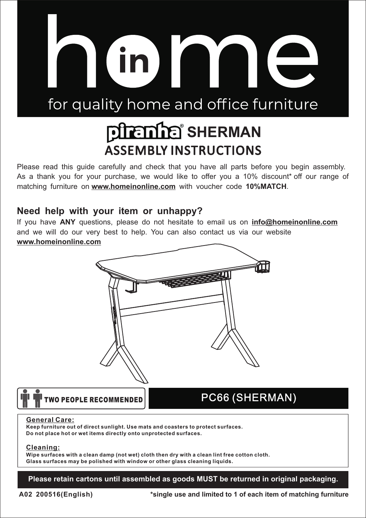# for quality home and office furniture

in l

# **BLETTE SHERMAN ASSEMBLY INSTRUCTIONS**

Please read this guide carefully and check that you have all parts before you begin assembly. As a thank you for your purchase, we would like to offer you a 10% discount\* off our range of matching furniture on **www.homeinonline.com** with voucher code **10%MATCH**.

#### **Need help with your item or unhappy?**

If you have **ANY** questions, please do not hesitate to email us on **info@homeinonline.com** and we will do our very best to help. You can also contact us via our website **www.homeinonline.com**



### *TWO PEOPLE RECOMMENDED*

## PC66 (SHERMAN)

#### **General Care:**

**Keep furniture out of direct sunlight. Use mats and coasters to protect surfaces. Do not place hot or wet items directly onto unprotected surfaces.**

#### **Cleaning:**

**Wipe surfaces with a clean damp (not wet) cloth then dry with a clean lint free cotton cloth. Glass surfaces may be polished with window or other glass cleaning liquids.**

**Please retain cartons until assembled as goods MUST be returned in original packaging.**

**A02 200516(English)**

**\*single use and limited to 1 of each item of matching furniture**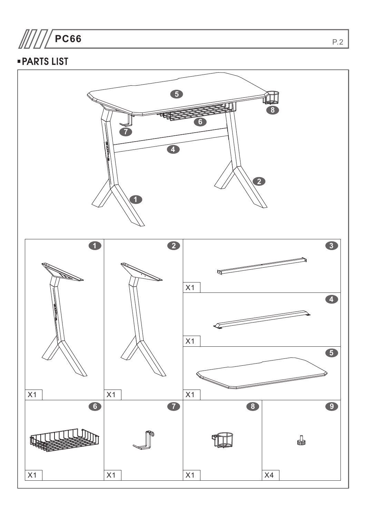**PC66**

### PARTS LIST

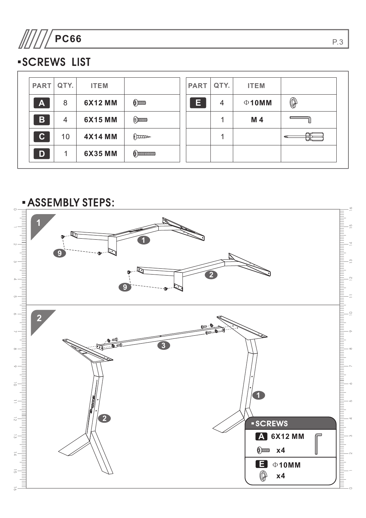

## SCREWS LIST

| <b>PART</b>  | QTY. | <b>ITEM</b>    |                      | <b>PART</b> | QTY. | <b>ITEM</b> |                |
|--------------|------|----------------|----------------------|-------------|------|-------------|----------------|
| $\mathbf{A}$ | 8    | 6X12 MM        | $@$ $\text{mm}$      | Е           | 4    | $\Phi$ 10MM | $\circledcirc$ |
| $\mathbf B$  | 4    | 6X15 MM        | $\odot$ mmm          |             |      | M 4         |                |
| $ {\bf C} $  | 10   | <b>4X14 MM</b> | $\int$               |             |      |             |                |
| D            |      | <b>6X35 MM</b> | $\odot$ municipality |             |      |             |                |



P.3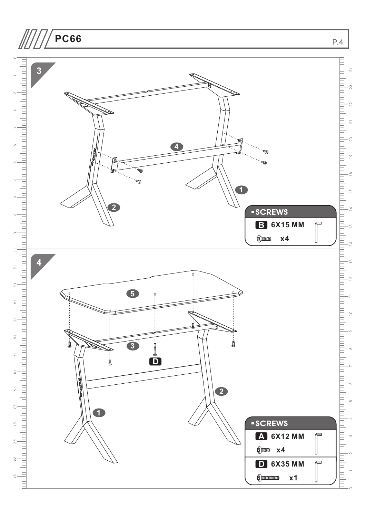